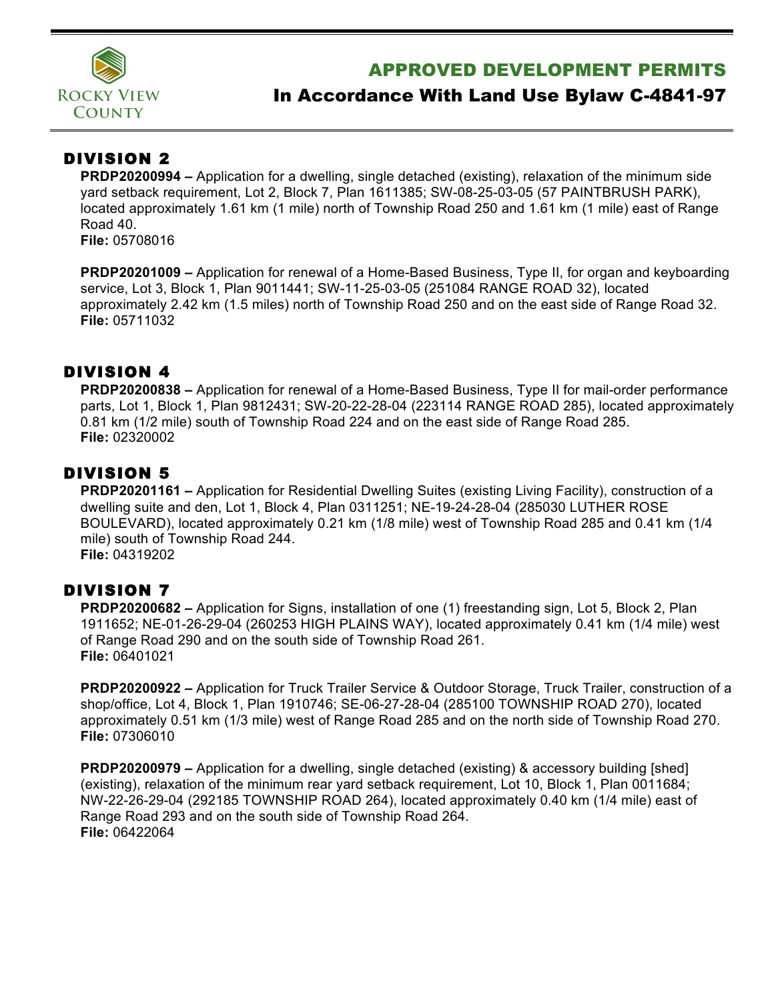

## APPROVED DEVELOPMENT PERMITS

# In Accordance With Land Use Bylaw C-4841-97

### DIVISION 2

**PRDP20200994 –** Application for a dwelling, single detached (existing), relaxation of the minimum side yard setback requirement, Lot 2, Block 7, Plan 1611385; SW-08-25-03-05 (57 PAINTBRUSH PARK), located approximately 1.61 km (1 mile) north of Township Road 250 and 1.61 km (1 mile) east of Range Road 40.

**File:** 05708016

**PRDP20201009 –** Application for renewal of a Home-Based Business, Type II, for organ and keyboarding service, Lot 3, Block 1, Plan 9011441; SW-11-25-03-05 (251084 RANGE ROAD 32), located approximately 2.42 km (1.5 miles) north of Township Road 250 and on the east side of Range Road 32. **File:** 05711032

#### DIVISION 4

**PRDP20200838 –** Application for renewal of a Home-Based Business, Type II for mail-order performance parts, Lot 1, Block 1, Plan 9812431; SW-20-22-28-04 (223114 RANGE ROAD 285), located approximately 0.81 km (1/2 mile) south of Township Road 224 and on the east side of Range Road 285. **File:** 02320002

#### DIVISION 5

**PRDP20201161 –** Application for Residential Dwelling Suites (existing Living Facility), construction of a dwelling suite and den, Lot 1, Block 4, Plan 0311251; NE-19-24-28-04 (285030 LUTHER ROSE BOULEVARD), located approximately 0.21 km (1/8 mile) west of Township Road 285 and 0.41 km (1/4 mile) south of Township Road 244. **File:** 04319202

## DIVISION 7

**PRDP20200682 –** Application for Signs, installation of one (1) freestanding sign, Lot 5, Block 2, Plan 1911652; NE-01-26-29-04 (260253 HIGH PLAINS WAY), located approximately 0.41 km (1/4 mile) west of Range Road 290 and on the south side of Township Road 261. **File:** 06401021

**PRDP20200922 –** Application for Truck Trailer Service & Outdoor Storage, Truck Trailer, construction of a shop/office, Lot 4, Block 1, Plan 1910746; SE-06-27-28-04 (285100 TOWNSHIP ROAD 270), located approximately 0.51 km (1/3 mile) west of Range Road 285 and on the north side of Township Road 270. **File:** 07306010

**PRDP20200979 –** Application for a dwelling, single detached (existing) & accessory building [shed] (existing), relaxation of the minimum rear yard setback requirement, Lot 10, Block 1, Plan 0011684; NW-22-26-29-04 (292185 TOWNSHIP ROAD 264), located approximately 0.40 km (1/4 mile) east of Range Road 293 and on the south side of Township Road 264. **File:** 06422064